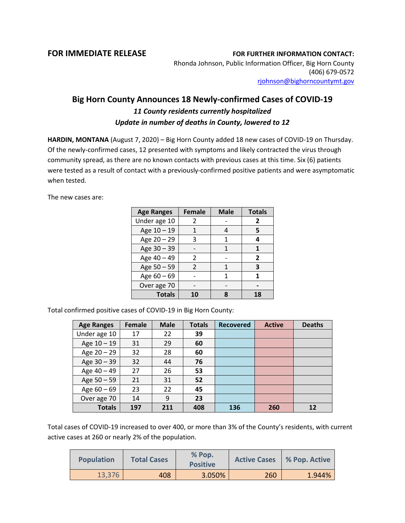**FOR IMMEDIATE RELEASE FOR FURTHER INFORMATION CONTACT:** Rhonda Johnson, Public Information Officer, Big Horn County (406) 679-0572 [rjohnson@bighorncountymt.gov](mailto:rjohnson@bighorncountymt.gov)

## **Big Horn County Announces 18 Newly-confirmed Cases of COVID-19** *11 County residents currently hospitalized Update in number of deaths in County, lowered to 12*

**HARDIN, MONTANA** (August 7, 2020) – Big Horn County added 18 new cases of COVID-19 on Thursday. Of the newly-confirmed cases, 12 presented with symptoms and likely contracted the virus through community spread, as there are no known contacts with previous cases at this time. Six (6) patients were tested as a result of contact with a previously-confirmed positive patients and were asymptomatic when tested.

The new cases are:

| <b>Age Ranges</b> | <b>Female</b> | <b>Male</b> | <b>Totals</b>  |
|-------------------|---------------|-------------|----------------|
| Under age 10      | 2             |             | 2              |
| Age 10 - 19       |               |             | 5              |
| Age 20 - 29       | 3             | 1           | 4              |
| Age 30 - 39       |               | 1           |                |
| Age 40 - 49       | $\mathcal{L}$ |             | $\overline{2}$ |
| Age 50 - 59       | $\mathcal{P}$ | 1           | 3              |
| Age 60 - 69       |               | 1           |                |
| Over age 70       |               |             |                |
| <b>Totals</b>     | 10            | Я           | 18             |

Total confirmed positive cases of COVID-19 in Big Horn County:

| <b>Age Ranges</b> | Female | <b>Male</b> | <b>Totals</b> | <b>Recovered</b> | <b>Active</b> | <b>Deaths</b> |
|-------------------|--------|-------------|---------------|------------------|---------------|---------------|
| Under age 10      | 17     | 22          | 39            |                  |               |               |
| Age 10 - 19       | 31     | 29          | 60            |                  |               |               |
| Age 20 - 29       | 32     | 28          | 60            |                  |               |               |
| Age 30 - 39       | 32     | 44          | 76            |                  |               |               |
| Age 40 - 49       | 27     | 26          | 53            |                  |               |               |
| Age 50 - 59       | 21     | 31          | 52            |                  |               |               |
| Age $60 - 69$     | 23     | 22          | 45            |                  |               |               |
| Over age 70       | 14     | 9           | 23            |                  |               |               |
| <b>Totals</b>     | 197    | 211         | 408           | 136              | 260           | 12            |

Total cases of COVID-19 increased to over 400, or more than 3% of the County's residents, with current active cases at 260 or nearly 2% of the population.

| <b>Population</b> | <b>Total Cases</b> | % Pop.<br><b>Positive</b> | <b>Active Cases</b> | % Pop. Active |
|-------------------|--------------------|---------------------------|---------------------|---------------|
| 13,376            | 408                | 3.050%                    | 260                 | 1.944%        |